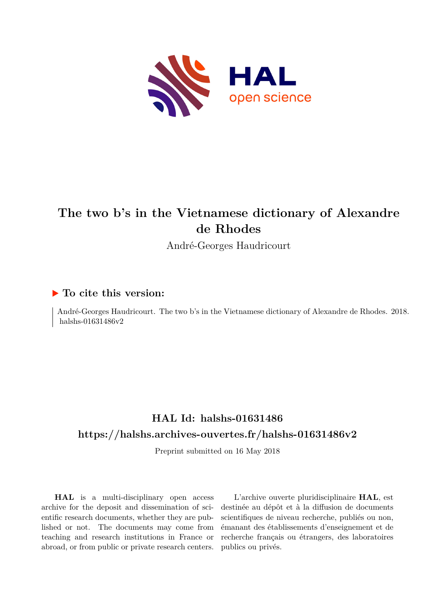

# **The two b's in the Vietnamese dictionary of Alexandre de Rhodes**

André-Georges Haudricourt

### **To cite this version:**

André-Georges Haudricourt. The two b's in the Vietnamese dictionary of Alexandre de Rhodes. 2018. halshs-01631486v2

## **HAL Id: halshs-01631486 <https://halshs.archives-ouvertes.fr/halshs-01631486v2>**

Preprint submitted on 16 May 2018

**HAL** is a multi-disciplinary open access archive for the deposit and dissemination of scientific research documents, whether they are published or not. The documents may come from teaching and research institutions in France or abroad, or from public or private research centers.

L'archive ouverte pluridisciplinaire **HAL**, est destinée au dépôt et à la diffusion de documents scientifiques de niveau recherche, publiés ou non, émanant des établissements d'enseignement et de recherche français ou étrangers, des laboratoires publics ou privés.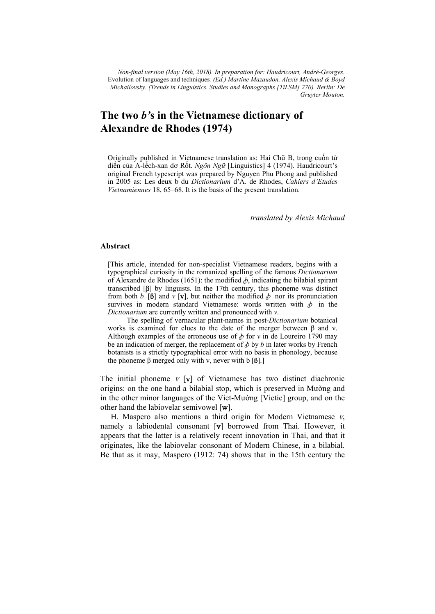*Non-final version (May 16th, 2018). In preparation for: Haudricourt, André-Georges.*  Evolution of languages and techniques*. (Ed.) Martine Mazaudon, Alexis Michaud & Boyd Michailovsky. (Trends in Linguistics. Studies and Monographs [TiLSM] 270). Berlin: De Gruyter Mouton.*

## **The two** *b'***s in the Vietnamese dictionary of Alexandre de Rhodes (1974)**

Originally published in Vietnamese translation as: Hai Chữ B, trong cuốn từ điển của A-lếch-xan đơ Rốt. *Ngôn Ngữ* [Linguistics] 4 (1974). Haudricourt's original French typescript was prepared by Nguyen Phu Phong and published in 2005 as: Les deux b du *Dictionarium* d'A. de Rhodes, *Cahiers d'Etudes Vietnamiennes* 18, 65–68. It is the basis of the present translation.

*translated by Alexis Michaud* 

#### **Abstract**

[This article, intended for non-specialist Vietnamese readers, begins with a typographical curiosity in the romanized spelling of the famous *Dictionarium* of Alexandre de Rhodes (1651): the modified  $\phi$ , indicating the bilabial spirant transcribed [β] by linguists. In the 17th century, this phoneme was distinct from both *b* [6] and *v* [**v**], but neither the modified  $\phi$  nor its pronunciation survives in modern standard Vietnamese: words written with  $\phi$  in the *Dictionarium* are currently written and pronounced with *v*.

 The spelling of vernacular plant-names in post-*Dictionarium* botanical works is examined for clues to the date of the merger between  $\beta$  and v. Although examples of the erroneous use of  $\phi$  for  $v$  in de Loureiro 1790 may be an indication of merger, the replacement of  $\phi$  by  $\phi$  in later works by French botanists is a strictly typographical error with no basis in phonology, because the phoneme β merged only with v, never with b  $[6]$ .]

The initial phoneme  $V$  [v] of Vietnamese has two distinct diachronic origins: on the one hand a bilabial stop, which is preserved in Mường and in the other minor languages of the Viet-Mường [Vietic] group, and on the other hand the labiovelar semivowel [w].

H. Maspero also mentions a third origin for Modern Vietnamese  $v$ , namely a labiodental consonant [v] borrowed from Thai. However, it appears that the latter is a relatively recent innovation in Thai, and that it originates, like the labiovelar consonant of Modern Chinese, in a bilabial. Be that as it may, Maspero (1912: 74) shows that in the 15th century the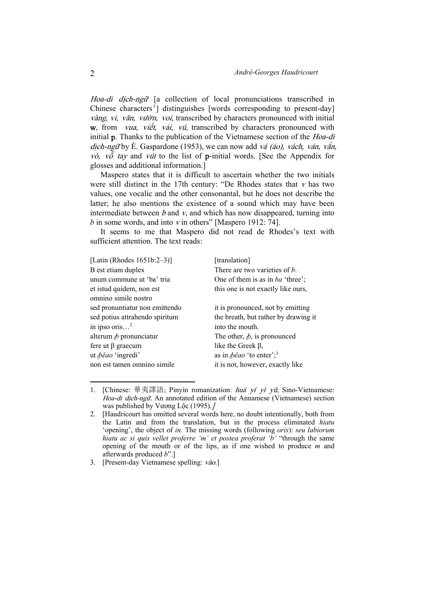Hoa-di dịch-ngữ [a collection of local pronunciations transcribed in Chinese characters<sup>1</sup>] distinguishes [words corresponding to present-day] vàng, vi, văn, vườn, voi, transcribed by characters pronounced with initial  $w$ , from *vua*, *viết*, *vải*, *vú*, transcribed by characters pronounced with initial p. Thanks to the publication of the Vietnamese section of the Hoa-di dịch-ngữ by É. Gaspardone (1953), we can now add vá (áo), vách, ván, vắn, vò, v $\delta$  tay and vút to the list of p-initial words. [See the Appendix for glosses and additional information.]

Maspero states that it is difficult to ascertain whether the two initials were still distinct in the 17th century: "De Rhodes states that  $v$  has two values, one vocalic and the other consonantal, but he does not describe the latter; he also mentions the existence of a sound which may have been intermediate between  $b$  and  $v$ , and which has now disappeared, turning into  $b$  in some words, and into  $v$  in others" [Maspero 1912: 74].

It seems to me that Maspero did not read de Rhodes's text with sufficient attention. The text reads:

| [Latin (Rhodes $1651b:2-3$ )]  | [translation]                                      |
|--------------------------------|----------------------------------------------------|
| B est etiam duplex             | There are two varieties of b.                      |
| unum commune ut 'ba' tria      | One of them is as in ba 'three';                   |
| et istud quidem, non est       | this one is not exactly like ours,                 |
| omnino simile nostro           |                                                    |
| sed pronuntiatur non emittendo | it is pronounced, not by emitting                  |
| sed potius attrahendo spiritum | the breath, but rather by drawing it               |
| in ipso oris <sup>2</sup>      | into the mouth.                                    |
| alterum $\phi$ pronunciatur    | The other, $\phi$ , is pronounced                  |
| fere ut $\beta$ graecum        | like the Greek $\beta$ ,                           |
| ut <i>běao</i> 'ingredi'       | as in $\phi \check{e}$ ao 'to enter'; <sup>3</sup> |
| non est tamen omnino simile    | it is not, however, exactly like                   |
|                                |                                                    |

<sup>1. [</sup>Chinese: 華夷譯語; Pinyin romanization: huá yí yì yǔ; Sino-Vietnamese: Hoa-di dịch-ngữ. An annotated edition of the Annamese (Vietnamese) section was published by Vương Lộc (1995).]

1

<sup>2. [</sup>Haudricourt has omitted several words here, no doubt intentionally, both from the Latin and from the translation, but in the process eliminated *hiatu* 'opening', the object of *in.* The missing words (following *oris*): *seu labiorum hiatu ac si quis vellet proferre 'm' et postea proferat 'b'* "through the same opening of the mouth or of the lips, as if one wished to produce *m* and afterwards produced *b*".]

<sup>3. [</sup>Present-day Vietnamese spelling: vào.]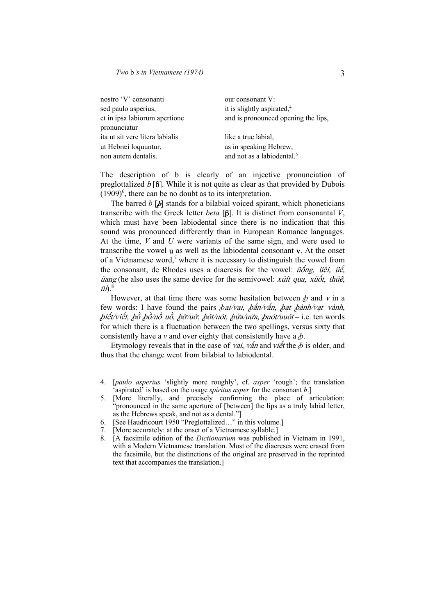| nostro 'V' consonanti           | our consonant V:                       |
|---------------------------------|----------------------------------------|
| sed paulo asperius,             | it is slightly aspirated, $4$          |
| et in ipsa labiorum apertione   | and is pronounced opening the lips,    |
| pronunciatur                    |                                        |
| ita ut sit vere litera labialis | like a true labial,                    |
| ut Hebræi loquuntur,            | as in speaking Hebrew,                 |
| non autem dentalis.             | and not as a labiodental. <sup>5</sup> |
|                                 |                                        |

The description of b is clearly of an injective pronunciation of preglottalized  $b$  [6]. While it is not quite as clear as that provided by Dubois  $(1909)^6$ , there can be no doubt as to its interpretation.

The barred  $b$  [ $\phi$ ] stands for a bilabial voiced spirant, which phoneticians transcribe with the Greek letter *beta* [β]. It is distinct from consonantal *V*, which must have been labiodental since there is no indication that this sound was pronounced differently than in European Romance languages. At the time, *V* and *U* were variants of the same sign, and were used to transcribe the vowel u as well as the labiodental consonant v. At the onset of a Vietnamese word,<sup>7</sup> where it is necessary to distinguish the vowel from the consonant, de Rhodes uses a diaeresis for the vowel:  $\ddot{u}$   $\delta$   $\delta$   $\alpha$   $\delta$   $\delta$   $\delta$   $\delta$   $\delta$   $\delta$  $\ddot{\mathbf{u}}$  (he also uses the same device for the semivowel: *xuit qua, xuotie, thue*,  $\ddot{u}$  $\ddot{v}$ . $8$ 

However, at that time there was some hesitation between  $\phi$  and  $\nu$  in a few words: I have found the pairs *bai/vai, bấn/vấn, bat bảnh/vat vảnh*, biết/viết, bồ bồ/uồ uồ, bờ/uờ, bót/uót, bửa/uửa, buót/uuót – i.e. ten words for which there is a fluctuation between the two spellings, versus sixty that consistently have a *v* and over eighty that consistently have a  $\phi$ .

Etymology reveals that in the case of *vai*, vấn and *viết* the  $\phi$  is older, and thus that the change went from bilabial to labiodental.

 $\overline{a}$ 

<sup>4. [</sup>*paulo asperius* 'slightly more roughly', cf. *asper* 'rough'; the translation 'aspirated' is based on the usage *spiritus asper* for the consonant *h*.]

<sup>5. [</sup>More literally, and precisely confirming the place of articulation: "pronounced in the same aperture of [between] the lips as a truly labial letter, as the Hebrews speak, and not as a dental."]

<sup>6. [</sup>See Haudricourt 1950 "Preglottalized…" in this volume.]

<sup>7. [</sup>More accurately: at the onset of a Vietnamese syllable.]

<sup>8. [</sup>A facsimile edition of the *Dictionarium* was published in Vietnam in 1991, with a Modern Vietnamese translation. Most of the diaereses were erased from the facsimile, but the distinctions of the original are preserved in the reprinted text that accompanies the translation.]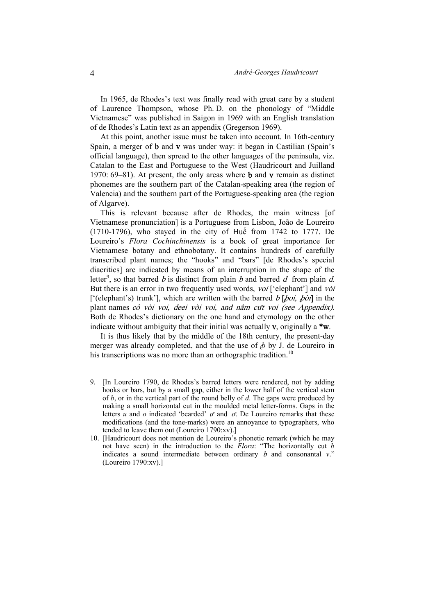In 1965, de Rhodes's text was finally read with great care by a student of Laurence Thompson, whose Ph. D. on the phonology of "Middle Vietnamese" was published in Saigon in 1969 with an English translation of de Rhodes's Latin text as an appendix (Gregerson 1969).

At this point, another issue must be taken into account. In 16th-century Spain, a merger of b and v was under way: it began in Castilian (Spain's official language), then spread to the other languages of the peninsula, viz. Catalan to the East and Portuguese to the West (Haudricourt and Juilland 1970:  $69-81$ ). At present, the only areas where **b** and **v** remain as distinct phonemes are the southern part of the Catalan-speaking area (the region of Valencia) and the southern part of the Portuguese-speaking area (the region of Algarve).

This is relevant because after de Rhodes, the main witness [of Vietnamese pronunciation] is a Portuguese from Lisbon, João de Loureiro (1710-1796), who stayed in the city of Huế from 1742 to 1777. De Loureiro's *Flora Cochinchinensis* is a book of great importance for Vietnamese botany and ethnobotany. It contains hundreds of carefully transcribed plant names; the "hooks" and "bars" [de Rhodes's special diacritics] are indicated by means of an interruption in the shape of the letter<sup>9</sup>, so that barred b is distinct from plain b and barred d from plain d. But there is an error in two frequently used words, voi ['elephant'] and vòi ['(elephant's) trunk'], which are written with the barred  $b$  [ $\delta$ oi,  $\delta$ òi] in the plant names cỏ vòi voi, deei vòi voi, and nâm cưt voi (see Appendix). Both de Rhodes's dictionary on the one hand and etymology on the other indicate without ambiguity that their initial was actually  $v$ , originally a  $w$ .

It is thus likely that by the middle of the 18th century, the present-day merger was already completed, and that the use of  $\phi$  by J. de Loureiro in his transcriptions was no more than an orthographic tradition.<sup>10</sup>

1

<sup>9. [</sup>In Loureiro 1790, de Rhodes's barred letters were rendered, not by adding hooks or bars, but by a small gap, either in the lower half of the vertical stem of *b*, or in the vertical part of the round belly of *d*. The gaps were produced by making a small horizontal cut in the moulded metal letter-forms. Gaps in the letters *u* and *o* indicated 'bearded' ư and ơ. De Loureiro remarks that these modifications (and the tone-marks) were an annoyance to typographers, who tended to leave them out (Loureiro 1790:xv).]

<sup>10. [</sup>Haudricourt does not mention de Loureiro's phonetic remark (which he may not have seen) in the introduction to the *Flora*: "The horizontally cut *b* indicates a sound intermediate between ordinary b and consonantal *v*." (Loureiro 1790:xv).]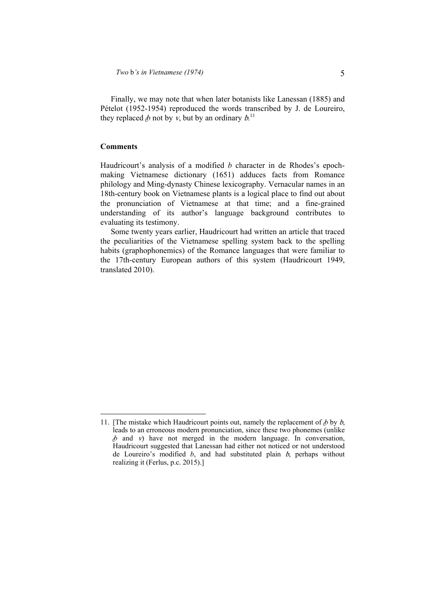Finally, we may note that when later botanists like Lanessan (1885) and Pételot (1952-1954) reproduced the words transcribed by J. de Loureiro, they replaced  $\phi$  not by v, but by an ordinary  $b$ .<sup>11</sup>

#### **Comments**

 $\overline{a}$ 

Haudricourt's analysis of a modified *b* character in de Rhodes's epochmaking Vietnamese dictionary (1651) adduces facts from Romance philology and Ming-dynasty Chinese lexicography. Vernacular names in an 18th-century book on Vietnamese plants is a logical place to find out about the pronunciation of Vietnamese at that time; and a fine-grained understanding of its author's language background contributes to evaluating its testimony.

Some twenty years earlier, Haudricourt had written an article that traced the peculiarities of the Vietnamese spelling system back to the spelling habits (graphophonemics) of the Romance languages that were familiar to the 17th-century European authors of this system (Haudricourt 1949, translated 2010).

<sup>11. [</sup>The mistake which Haudricourt points out, namely the replacement of  $\phi$  by  $\phi$ , leads to an erroneous modern pronunciation, since these two phonemes (unlike  *and*  $*v*$ *) have not merged in the modern language. In conversation,* Haudricourt suggested that Lanessan had either not noticed or not understood de Loureiro's modified *b*, and had substituted plain b, perhaps without realizing it (Ferlus, p.c. 2015).]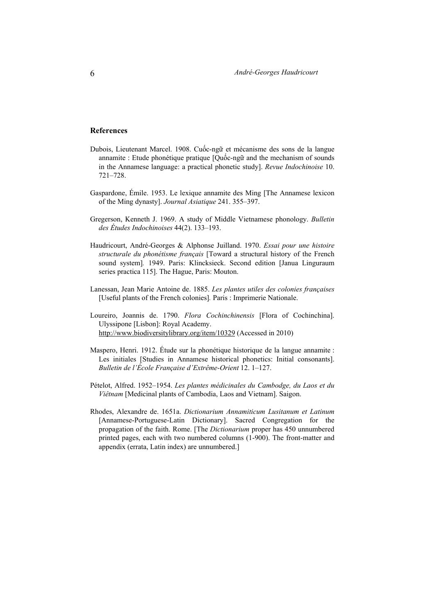#### **References**

- Dubois, Lieutenant Marcel. 1908. Cuốc-ngữ et mécanisme des sons de la langue annamite : Etude phonétique pratique [Quốc-ngữ and the mechanism of sounds in the Annamese language: a practical phonetic study]. *Revue Indochinoise* 10. 721–728.
- Gaspardone, Émile. 1953. Le lexique annamite des Ming [The Annamese lexicon of the Ming dynasty]. *Journal Asiatique* 241. 355–397.
- Gregerson, Kenneth J. 1969. A study of Middle Vietnamese phonology. *Bulletin des Études Indochinoises* 44(2). 133–193.
- Haudricourt, André-Georges & Alphonse Juilland. 1970. *Essai pour une histoire structurale du phonétisme français* [Toward a structural history of the French sound system]*.* 1949. Paris: Klincksieck. Second edition [Janua Linguraum series practica 115]. The Hague, Paris: Mouton.
- Lanessan, Jean Marie Antoine de. 1885. *Les plantes utiles des colonies françaises*  [Useful plants of the French colonies]*.* Paris : Imprimerie Nationale.
- Loureiro, Joannis de. 1790. *Flora Cochinchinensis* [Flora of Cochinchina]. Ulyssipone [Lisbon]: Royal Academy. http://www.biodiversitylibrary.org/item/10329 (Accessed in 2010)
- Maspero, Henri. 1912. Étude sur la phonétique historique de la langue annamite : Les initiales [Studies in Annamese historical phonetics: Initial consonants]. *Bulletin de l'École Française d'Extrême-Orient* 12. 1–127.
- Pételot, Alfred. 1952–1954. *Les plantes médicinales du Cambodge, du Laos et du Viêtnam* [Medicinal plants of Cambodia, Laos and Vietnam]. Saigon.
- Rhodes, Alexandre de. 1651a. *Dictionarium Annamiticum Lusitanum et Latinum*  [Annamese-Portuguese-Latin Dictionary]. Sacred Congregation for the propagation of the faith. Rome. [The *Dictionarium* proper has 450 unnumbered printed pages, each with two numbered columns (1-900). The front-matter and appendix (errata, Latin index) are unnumbered.]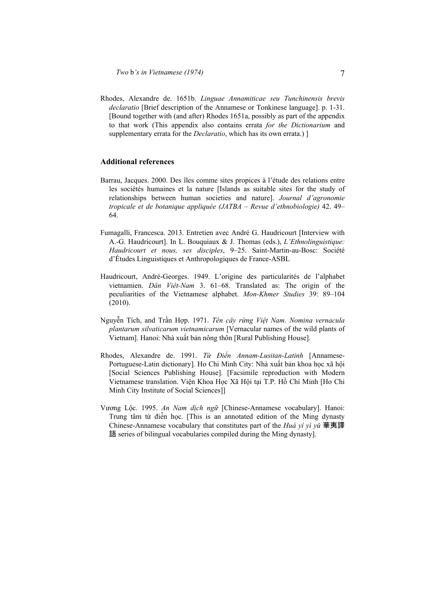Rhodes, Alexandre de. 1651b. *Linguae Annamiticae seu Tunchinensis brevis declaratio* [Brief description of the Annamese or Tonkinese language]. p. 1-31. [Bound together with (and after) Rhodes 1651a, possibly as part of the appendix to that work (This appendix also contains errata *for the Dictionarium* and supplementary errata for the *Declaratio*, which has its own errata.) ]

#### **Additional references**

- Barrau, Jacques. 2000. Des îles comme sites propices à l'étude des relations entre les sociétés humaines et la nature [Islands as suitable sites for the study of relationships between human societies and nature]. *Journal d'agronomie tropicale et de botanique appliquée (JATBA – Revue d'ethnobiologie)* 42. 49– 64.
- Fumagalli, Francesca. 2013. Entretien avec André G. Haudricourt [Interview with A.-G. Haudricourt]. In L. Bouquiaux & J. Thomas (eds.), *L'Ethnolinguistique: Haudricourt et nous, ses disciples*, 9–25. Saint-Martin-au-Bosc: Société d'Études Linguistiques et Anthropologiques de France-ASBL
- Haudricourt, André-Georges. 1949. L'origine des particularités de l'alphabet vietnamien. *Dân Viêt-Nam* 3. 61–68. Translated as: The origin of the peculiarities of the Vietnamese alphabet. *Mon-Khmer Studies* 39: 89–104 (2010).
- Nguyễn Tích, and Trần Hợp. 1971. *Tên cây rừng Việt Nam. Nomina vernacula plantarum silvaticarum vietnamicarum* [Vernacular names of the wild plants of Vietnam]. Hanoi: Nhà xuất bản nông thôn [Rural Publishing House].
- Rhodes, Alexandre de. 1991. *Từ Điển Annam-Lusitan-Latinh* [Annamese-Portuguese-Latin dictionary<sup>]</sup>. Ho Chi Minh City: Nhà xuất bản khoa học xã hội [Social Sciences Publishing House]. [Facsimile reproduction with Modern Vietnamese translation. Viện Khoa Học Xã Hội tại T.P. Hồ Chí Minh [Ho Chi Minh City Institute of Social Sciences]]
- Vương Lộc. 1995. *An Nam dịch ngữ* [Chinese-Annamese vocabulary]. Hanoi: Trung tâm từ điển học. [This is an annotated edition of the Ming dynasty Chinese-Annamese vocabulary that constitutes part of the *Huá yí yì yǔ* 華夷譯 語 series of bilingual vocabularies compiled during the Ming dynasty].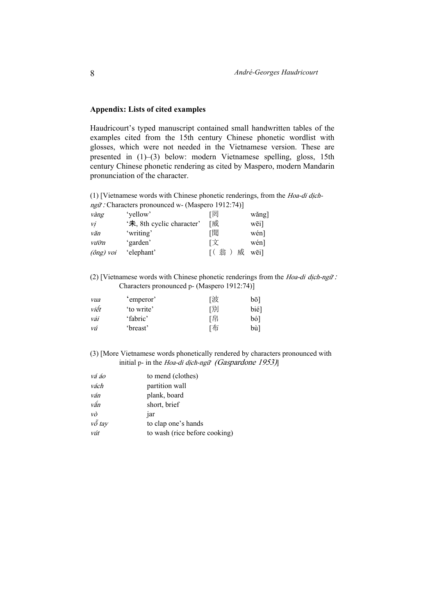#### **Appendix: Lists of cited examples**

Haudricourt's typed manuscript contained small handwritten tables of the examples cited from the 15th century Chinese phonetic wordlist with glosses, which were not needed in the Vietnamese version. These are presented in (1)–(3) below: modern Vietnamese spelling, gloss, 15th century Chinese phonetic rendering as cited by Maspero, modern Mandarin pronunciation of the character.

(1) [Vietnamese words with Chinese phonetic renderings, from the Hoa-di dịchng<sup>ữ</sup> : Characters pronounced w- (Maspero 1912:74)]

| vàng               | 'vellow'                  | 「罔     | wǎng] |
|--------------------|---------------------------|--------|-------|
| Vİ                 | '未, 8th cyclic character' | 「威     | wēi]  |
| văn                | 'writing'                 | 「聞     | wén]  |
| vườn               | 'garden'                  | 「文     | wén]  |
| $(\hat{0}$ ng) voi | 'elephant'                | 翁<br>威 | wēil  |

(2) [Vietnamese words with Chinese phonetic renderings from the *Hoa-di dich-ngữ :* Characters pronounced p- (Maspero 1912:74)]

| vua  | 'emperor'  | 「波 | bō1  |
|------|------------|----|------|
| viết | 'to write' | 「別 | bié] |
| vái  | 'fabric'   | 「帛 | bó]  |
| vú   | 'breast'   | 「布 | bù1  |

(3) [More Vietnamese words phonetically rendered by characters pronounced with initial p- in the Hoa-di dịch-ngữ (Gaspardone 1953)]

| vá áo  | to mend (clothes)             |
|--------|-------------------------------|
| vách   | partition wall                |
| ván    | plank, board                  |
| vắn    | short, brief                  |
| vò     | 1ar                           |
| vỗ tay | to clap one's hands           |
| vút    | to wash (rice before cooking) |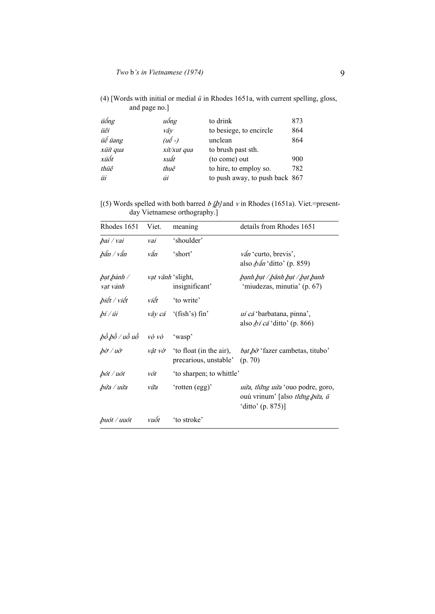| (4) [Words with initial or medial $\ddot{u}$ in Rhodes 1651a, with current spelling, gloss, |  |  |
|---------------------------------------------------------------------------------------------|--|--|
| and page no.]                                                                               |  |  |

| uống             | to drink                       | 873 |
|------------------|--------------------------------|-----|
| vâv              | to besiege, to encircle        | 864 |
| $(u\acute{e}$ -) | unclean                        | 864 |
| xít/xut qua      | to brush past sth.             |     |
| xuất             | (to come) out                  | 900 |
| thuê             | to hire, to employ so.         | 782 |
| Ůİ               | to push away, to push back 867 |     |
|                  |                                |     |

[(5) Words spelled with both barred  $b$  [ $b$ ] and  $v$  in Rhodes (1651a). Viet.=presentday Vietnamese orthography.]

| Rhodes 1651                       | Viet.             | meaning                                          | details from Rhodes 1651                                                                       |
|-----------------------------------|-------------------|--------------------------------------------------|------------------------------------------------------------------------------------------------|
| bai / vai                         | vai               | 'shoulder'                                       |                                                                                                |
| bấn / vấn                         | vắn               | 'short'                                          | vấn 'curto, brevis',<br>also $\phi$ án 'ditto' (p. 859)                                        |
| bạt bảnh /<br>vạt vảnh            | vat vãnh 'slight, | insignificant'                                   | bạnh bạt / bãnh bạt / bạt banh<br>'miudezas, minutia' (p. 67)                                  |
| biết / viết                       | viết              | 'to write'                                       |                                                                                                |
| bí / úi                           |                   | vây cá '(fish's) fin'                            | uí cá 'barbatana, pinna',<br>also $\phi$ í cá 'ditto' (p. 866)                                 |
| ,bồ bồ / uồ uồ                    | vò vò             | 'wasp'                                           |                                                                                                |
| $b\dot{\sigma}$ / $u\dot{\sigma}$ | vât vờ            | 'to float (in the air),<br>precarious, unstable' | <i>bat bò</i> 'fazer cambetas, titubo'<br>(p. 70)                                              |
| bót / uót                         | vót               | 'to sharpen; to whittle'                         |                                                                                                |
| bửa / uửa                         | vữa               | 'rotten (egg)'                                   | <i>uửa, tlứng uửa</i> 'ouo podre, goro,<br>ouú vrinum' [also tlứng bửa, ũ<br>'ditto' (p. 875)] |
| buót / uuót                       | vuôt              | 'to stroke'                                      |                                                                                                |